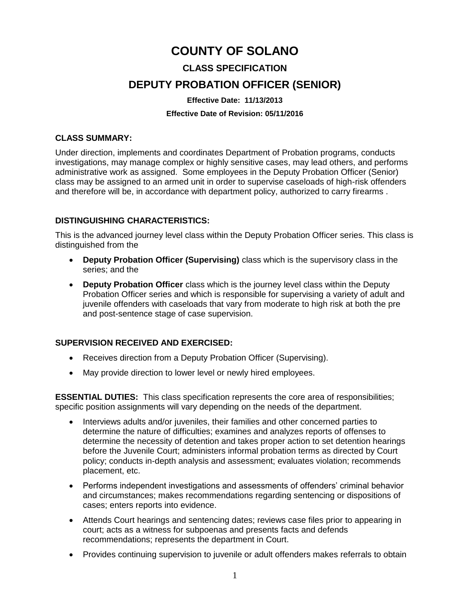# **COUNTY OF SOLANO CLASS SPECIFICATION DEPUTY PROBATION OFFICER (SENIOR)**

#### **Effective Date: 11/13/2013**

#### **Effective Date of Revision: 05/11/2016**

### **CLASS SUMMARY:**

Under direction, implements and coordinates Department of Probation programs, conducts investigations, may manage complex or highly sensitive cases, may lead others, and performs administrative work as assigned. Some employees in the Deputy Probation Officer (Senior) class may be assigned to an armed unit in order to supervise caseloads of high-risk offenders and therefore will be, in accordance with department policy, authorized to carry firearms .

## **DISTINGUISHING CHARACTERISTICS:**

This is the advanced journey level class within the Deputy Probation Officer series. This class is distinguished from the

- **Deputy Probation Officer (Supervising)** class which is the supervisory class in the series; and the
- **Deputy Probation Officer** class which is the journey level class within the Deputy Probation Officer series and which is responsible for supervising a variety of adult and juvenile offenders with caseloads that vary from moderate to high risk at both the pre and post-sentence stage of case supervision.

# **SUPERVISION RECEIVED AND EXERCISED:**

- Receives direction from a Deputy Probation Officer (Supervising).
- May provide direction to lower level or newly hired employees.

**ESSENTIAL DUTIES:** This class specification represents the core area of responsibilities; specific position assignments will vary depending on the needs of the department.

- Interviews adults and/or juveniles, their families and other concerned parties to determine the nature of difficulties; examines and analyzes reports of offenses to determine the necessity of detention and takes proper action to set detention hearings before the Juvenile Court; administers informal probation terms as directed by Court policy; conducts in-depth analysis and assessment; evaluates violation; recommends placement, etc.
- Performs independent investigations and assessments of offenders' criminal behavior and circumstances; makes recommendations regarding sentencing or dispositions of cases; enters reports into evidence.
- Attends Court hearings and sentencing dates; reviews case files prior to appearing in court; acts as a witness for subpoenas and presents facts and defends recommendations; represents the department in Court.
- Provides continuing supervision to juvenile or adult offenders makes referrals to obtain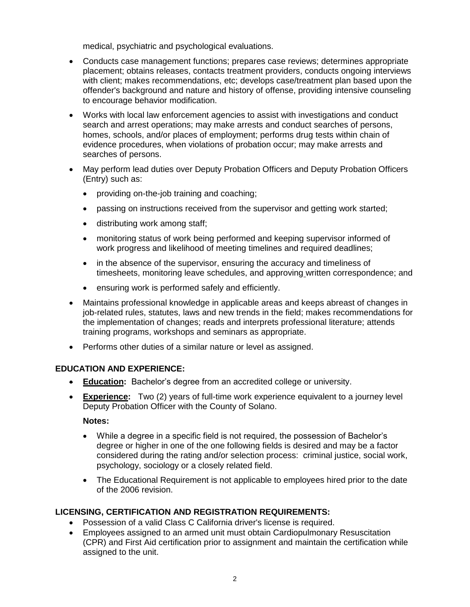medical, psychiatric and psychological evaluations.

- Conducts case management functions; prepares case reviews; determines appropriate placement; obtains releases, contacts treatment providers, conducts ongoing interviews with client; makes recommendations, etc; develops case/treatment plan based upon the offender's background and nature and history of offense, providing intensive counseling to encourage behavior modification.
- Works with local law enforcement agencies to assist with investigations and conduct search and arrest operations; may make arrests and conduct searches of persons, homes, schools, and/or places of employment; performs drug tests within chain of evidence procedures, when violations of probation occur; may make arrests and searches of persons.
- May perform lead duties over Deputy Probation Officers and Deputy Probation Officers (Entry) such as:
	- providing on-the-job training and coaching;
	- passing on instructions received from the supervisor and getting work started;
	- distributing work among staff;
	- monitoring status of work being performed and keeping supervisor informed of work progress and likelihood of meeting timelines and required deadlines;
	- in the absence of the supervisor, ensuring the accuracy and timeliness of timesheets, monitoring leave schedules, and approving written correspondence; and
	- ensuring work is performed safely and efficiently.
- Maintains professional knowledge in applicable areas and keeps abreast of changes in job-related rules, statutes, laws and new trends in the field; makes recommendations for the implementation of changes; reads and interprets professional literature; attends training programs, workshops and seminars as appropriate.
- Performs other duties of a similar nature or level as assigned.

# **EDUCATION AND EXPERIENCE:**

- **Education:** Bachelor's degree from an accredited college or university.
- **Experience:** Two (2) years of full-time work experience equivalent to a journey level Deputy Probation Officer with the County of Solano.

# **Notes:**

- While a degree in a specific field is not required, the possession of Bachelor's degree or higher in one of the one following fields is desired and may be a factor considered during the rating and/or selection process: criminal justice, social work, psychology, sociology or a closely related field.
- The Educational Requirement is not applicable to employees hired prior to the date of the 2006 revision.

# **LICENSING, CERTIFICATION AND REGISTRATION REQUIREMENTS:**

- Possession of a valid Class C California driver's license is required.
- Employees assigned to an armed unit must obtain Cardiopulmonary Resuscitation (CPR) and First Aid certification prior to assignment and maintain the certification while assigned to the unit.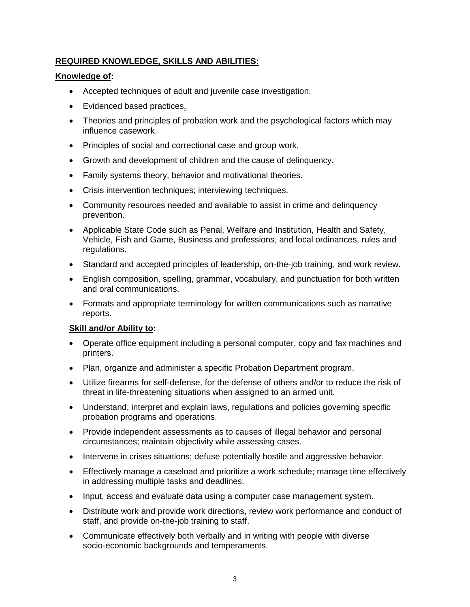# **REQUIRED KNOWLEDGE, SKILLS AND ABILITIES:**

# **Knowledge of:**

- Accepted techniques of adult and juvenile case investigation.
- Evidenced based practices.
- Theories and principles of probation work and the psychological factors which may influence casework.
- Principles of social and correctional case and group work.
- Growth and development of children and the cause of delinquency.
- Family systems theory, behavior and motivational theories.
- Crisis intervention techniques; interviewing techniques.
- Community resources needed and available to assist in crime and delinquency prevention.
- Applicable State Code such as Penal, Welfare and Institution, Health and Safety, Vehicle, Fish and Game, Business and professions, and local ordinances, rules and regulations.
- Standard and accepted principles of leadership, on-the-job training, and work review.
- English composition, spelling, grammar, vocabulary, and punctuation for both written and oral communications.
- Formats and appropriate terminology for written communications such as narrative reports.

#### **Skill and/or Ability to:**

- Operate office equipment including a personal computer, copy and fax machines and printers.
- Plan, organize and administer a specific Probation Department program.
- Utilize firearms for self-defense, for the defense of others and/or to reduce the risk of threat in life-threatening situations when assigned to an armed unit.
- Understand, interpret and explain laws, regulations and policies governing specific probation programs and operations.
- Provide independent assessments as to causes of illegal behavior and personal circumstances; maintain objectivity while assessing cases.
- Intervene in crises situations; defuse potentially hostile and aggressive behavior.
- Effectively manage a caseload and prioritize a work schedule; manage time effectively in addressing multiple tasks and deadlines.
- Input, access and evaluate data using a computer case management system.
- Distribute work and provide work directions, review work performance and conduct of staff, and provide on-the-job training to staff.
- Communicate effectively both verbally and in writing with people with diverse socio-economic backgrounds and temperaments.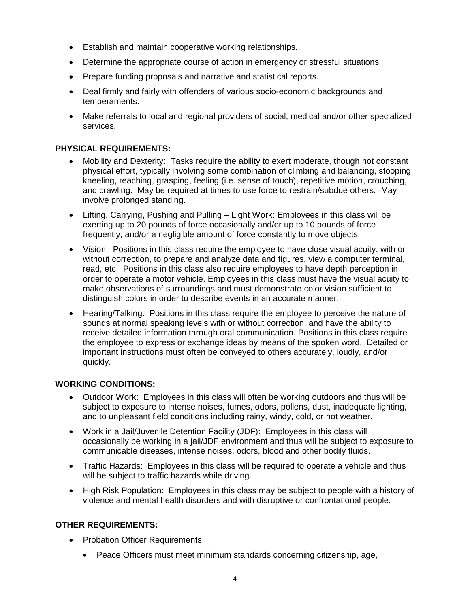- Establish and maintain cooperative working relationships.
- Determine the appropriate course of action in emergency or stressful situations.
- Prepare funding proposals and narrative and statistical reports.
- Deal firmly and fairly with offenders of various socio-economic backgrounds and temperaments.
- Make referrals to local and regional providers of social, medical and/or other specialized services.

# **PHYSICAL REQUIREMENTS:**

- Mobility and Dexterity: Tasks require the ability to exert moderate, though not constant physical effort, typically involving some combination of climbing and balancing, stooping, kneeling, reaching, grasping, feeling (i.e. sense of touch), repetitive motion, crouching, and crawling. May be required at times to use force to restrain/subdue others. May involve prolonged standing.
- Lifting, Carrying, Pushing and Pulling Light Work: Employees in this class will be exerting up to 20 pounds of force occasionally and/or up to 10 pounds of force frequently, and/or a negligible amount of force constantly to move objects.
- Vision: Positions in this class require the employee to have close visual acuity, with or without correction, to prepare and analyze data and figures, view a computer terminal, read, etc. Positions in this class also require employees to have depth perception in order to operate a motor vehicle. Employees in this class must have the visual acuity to make observations of surroundings and must demonstrate color vision sufficient to distinguish colors in order to describe events in an accurate manner.
- Hearing/Talking: Positions in this class require the employee to perceive the nature of sounds at normal speaking levels with or without correction, and have the ability to receive detailed information through oral communication. Positions in this class require the employee to express or exchange ideas by means of the spoken word. Detailed or important instructions must often be conveyed to others accurately, loudly, and/or quickly.

# **WORKING CONDITIONS:**

- Outdoor Work: Employees in this class will often be working outdoors and thus will be subject to exposure to intense noises, fumes, odors, pollens, dust, inadequate lighting, and to unpleasant field conditions including rainy, windy, cold, or hot weather.
- Work in a Jail/Juvenile Detention Facility (JDF): Employees in this class will occasionally be working in a jail/JDF environment and thus will be subject to exposure to communicable diseases, intense noises, odors, blood and other bodily fluids.
- Traffic Hazards: Employees in this class will be required to operate a vehicle and thus will be subject to traffic hazards while driving.
- High Risk Population: Employees in this class may be subject to people with a history of violence and mental health disorders and with disruptive or confrontational people.

# **OTHER REQUIREMENTS:**

- Probation Officer Requirements:
	- Peace Officers must meet minimum standards concerning citizenship, age,